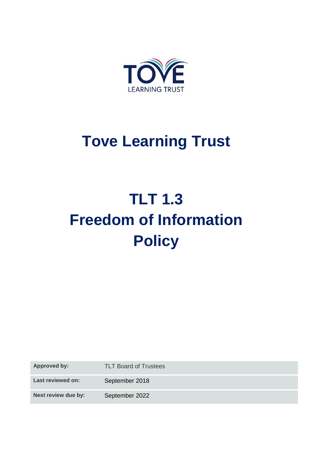

## **Tove Learning Trust**

# **TLT 1.3 Freedom of Information Policy**

**Approved by:** TLT Board of Trustees

Last reviewed on: September 2018

Next review due by: September 2022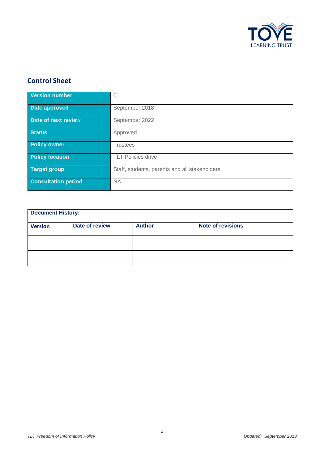

#### **Control Sheet**

| <b>Version number</b>      | 01                                            |
|----------------------------|-----------------------------------------------|
| Date approved              | September 2018                                |
| Date of next review        | September 2022                                |
| <b>Status</b>              | Approved                                      |
| <b>Policy owner</b>        | <b>Trustees</b>                               |
| <b>Policy location</b>     | <b>TLT Policies drive</b>                     |
| <b>Target group</b>        | Staff, students, parents and all stakeholders |
| <b>Consultation period</b> | <b>NA</b>                                     |

| <b>Document History:</b> |                |               |                          |  |
|--------------------------|----------------|---------------|--------------------------|--|
| <b>Version</b>           | Date of review | <b>Author</b> | <b>Note of revisions</b> |  |
|                          |                |               |                          |  |
|                          |                |               |                          |  |
|                          |                |               |                          |  |
|                          |                |               |                          |  |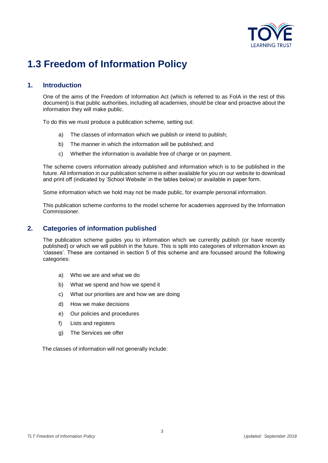

### **1.3 Freedom of Information Policy**

#### **1. Introduction**

One of the aims of the Freedom of Information Act (which is referred to as FoIA in the rest of this document) is that public authorities, including all academies, should be clear and proactive about the information they will make public.

To do this we must produce a publication scheme, setting out:

- a) The classes of information which we publish or intend to publish;
- b) The manner in which the information will be published; and
- c) Whether the information is available free of charge or on payment.

The scheme covers information already published and information which is to be published in the future. All information in our publication scheme is either available for you on our website to download and print off (indicated by 'School Website' in the tables below) or available in paper form.

Some information which we hold may not be made public, for example personal information.

This publication scheme conforms to the model scheme for academies approved by the Information Commissioner.

#### **2. Categories of information published**

The publication scheme guides you to information which we currently publish (or have recently published) or which we will publish in the future. This is split into categories of information known as 'classes'. These are contained in section 5 of this scheme and are focussed around the following categories:

- a) Who we are and what we do
- b) What we spend and how we spend it
- c) What our priorities are and how we are doing
- d) How we make decisions
- e) Our policies and procedures
- f) Lists and registers
- g) The Services we offer

The classes of information will not generally include: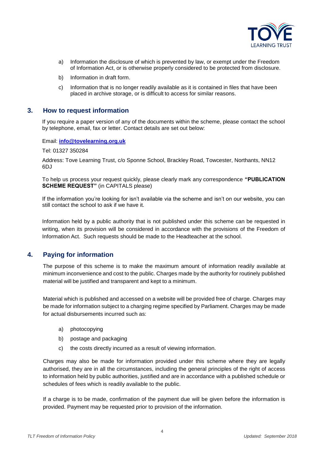

- a) Information the disclosure of which is prevented by law, or exempt under the Freedom of Information Act, or is otherwise properly considered to be protected from disclosure.
- b) Information in draft form.
- c) Information that is no longer readily available as it is contained in files that have been placed in archive storage, or is difficult to access for similar reasons.

#### **3. How to request information**

If you require a paper version of any of the documents within the scheme, please contact the school by telephone, email, fax or letter. Contact details are set out below:

Email: **[info@tovelearning.org.uk](mailto:info@tovelearning.org.uk)**

Tel: 01327 350284

Address: Tove Learning Trust, c/o Sponne School, Brackley Road, Towcester, Northants, NN12 6DJ

To help us process your request quickly, please clearly mark any correspondence **"PUBLICATION SCHEME REQUEST"** (in CAPITALS please)

If the information you're looking for isn't available via the scheme and isn't on our website, you can still contact the school to ask if we have it.

Information held by a public authority that is not published under this scheme can be requested in writing, when its provision will be considered in accordance with the provisions of the Freedom of Information Act. Such requests should be made to the Headteacher at the school.

#### **4. Paying for information**

The purpose of this scheme is to make the maximum amount of information readily available at minimum inconvenience and cost to the public. Charges made by the authority for routinely published material will be justified and transparent and kept to a minimum.

Material which is published and accessed on a website will be provided free of charge. Charges may be made for information subject to a charging regime specified by Parliament. Charges may be made for actual disbursements incurred such as:

- a) photocopying
- b) postage and packaging
- c) the costs directly incurred as a result of viewing information.

Charges may also be made for information provided under this scheme where they are legally authorised, they are in all the circumstances, including the general principles of the right of access to information held by public authorities, justified and are in accordance with a published schedule or schedules of fees which is readily available to the public.

If a charge is to be made, confirmation of the payment due will be given before the information is provided. Payment may be requested prior to provision of the information.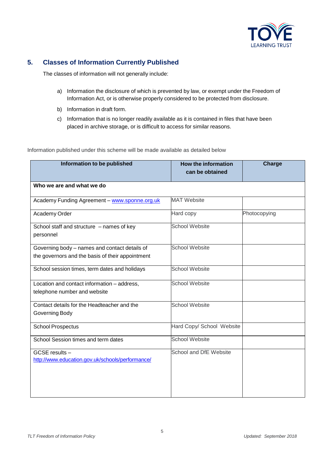

#### **5. Classes of Information Currently Published**

The classes of information will not generally include:

- a) Information the disclosure of which is prevented by law, or exempt under the Freedom of Information Act, or is otherwise properly considered to be protected from disclosure.
- b) Information in draft form.
- c) Information that is no longer readily available as it is contained in files that have been placed in archive storage, or is difficult to access for similar reasons.

Information published under this scheme will be made available as detailed below

| Information to be published                                                                       | <b>How the information</b><br>can be obtained | Charge       |
|---------------------------------------------------------------------------------------------------|-----------------------------------------------|--------------|
| Who we are and what we do                                                                         |                                               |              |
| Academy Funding Agreement - www.sponne.org.uk                                                     | <b>MAT Website</b>                            |              |
| Academy Order                                                                                     | Hard copy                                     | Photocopying |
| School staff and structure - names of key<br>personnel                                            | <b>School Website</b>                         |              |
| Governing body - names and contact details of<br>the governors and the basis of their appointment | <b>School Website</b>                         |              |
| School session times, term dates and holidays                                                     | <b>School Website</b>                         |              |
| Location and contact information - address,<br>telephone number and website                       | <b>School Website</b>                         |              |
| Contact details for the Headteacher and the<br>Governing Body                                     | <b>School Website</b>                         |              |
| <b>School Prospectus</b>                                                                          | Hard Copy/ School Website                     |              |
| School Session times and term dates                                                               | <b>School Website</b>                         |              |
| GCSE results -<br>http://www.education.gov.uk/schools/performance/                                | School and DfE Website                        |              |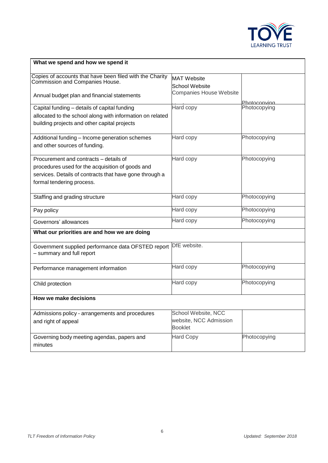

| What we spend and how we spend it                                                                  |                                             |              |  |
|----------------------------------------------------------------------------------------------------|---------------------------------------------|--------------|--|
| Copies of accounts that have been filed with the Charity<br><b>Commission and Companies House.</b> | <b>MAT Website</b><br><b>School Website</b> |              |  |
| Annual budget plan and financial statements                                                        | Companies House Website                     | Photocopying |  |
| Capital funding - details of capital funding                                                       | Hard copy                                   | Photocopying |  |
| allocated to the school along with information on related                                          |                                             |              |  |
| building projects and other capital projects                                                       |                                             |              |  |
| Additional funding - Income generation schemes                                                     | Hard copy                                   | Photocopying |  |
| and other sources of funding.                                                                      |                                             |              |  |
| Procurement and contracts – details of                                                             | Hard copy                                   | Photocopying |  |
| procedures used for the acquisition of goods and                                                   |                                             |              |  |
| services. Details of contracts that have gone through a                                            |                                             |              |  |
| formal tendering process.                                                                          |                                             |              |  |
| Staffing and grading structure                                                                     | Hard copy                                   | Photocopying |  |
| Pay policy                                                                                         | Hard copy                                   | Photocopying |  |
| Governors' allowances                                                                              | Hard copy                                   | Photocopying |  |
| What our priorities are and how we are doing                                                       |                                             |              |  |
| Government supplied performance data OFSTED report<br>- summary and full report                    | DfE website.                                |              |  |
| Performance management information                                                                 | Hard copy                                   | Photocopying |  |
| Child protection                                                                                   | Hard copy                                   | Photocopying |  |
| How we make decisions                                                                              |                                             |              |  |
| Admissions policy - arrangements and procedures                                                    | School Website, NCC                         |              |  |
| and right of appeal                                                                                | website, NCC Admission<br><b>Booklet</b>    |              |  |
| Governing body meeting agendas, papers and                                                         | <b>Hard Copy</b>                            | Photocopying |  |
| minutes                                                                                            |                                             |              |  |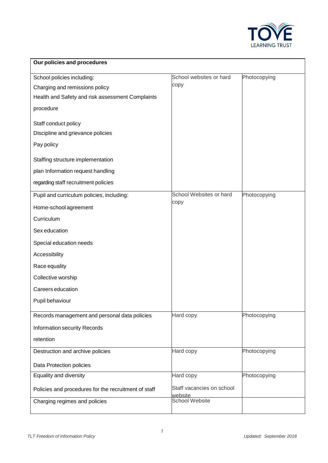

| Our policies and procedures                          |                                      |              |  |
|------------------------------------------------------|--------------------------------------|--------------|--|
| School policies including:                           | School websites or hard              | Photocopying |  |
| Charging and remissions policy                       | copy                                 |              |  |
| Health and Safety and risk assessment Complaints     |                                      |              |  |
| procedure                                            |                                      |              |  |
| Staff conduct policy                                 |                                      |              |  |
| Discipline and grievance policies                    |                                      |              |  |
| Pay policy                                           |                                      |              |  |
| Staffing structure implementation                    |                                      |              |  |
| plan Information request handling                    |                                      |              |  |
| regarding staff recruitment policies                 |                                      |              |  |
| Pupil and curriculum policies, including:            | School Websites or hard              | Photocopying |  |
| Home-school agreement                                | copy                                 |              |  |
| Curriculum                                           |                                      |              |  |
| Sex education                                        |                                      |              |  |
| Special education needs                              |                                      |              |  |
| Accessibility                                        |                                      |              |  |
| Race equality                                        |                                      |              |  |
| Collective worship                                   |                                      |              |  |
| Careers education                                    |                                      |              |  |
| Pupil behaviour                                      |                                      |              |  |
| Records management and personal data policies        | Hard copy                            | Photocopying |  |
| <b>Information security Records</b>                  |                                      |              |  |
| retention                                            |                                      |              |  |
| Destruction and archive policies                     | Hard copy                            | Photocopying |  |
| Data Protection policies                             |                                      |              |  |
| Equality and diversity                               | Hard copy                            | Photocopying |  |
| Policies and procedures for the recruitment of staff | Staff vacancies on school<br>website |              |  |
| Charging regimes and policies                        | <b>School Website</b>                |              |  |